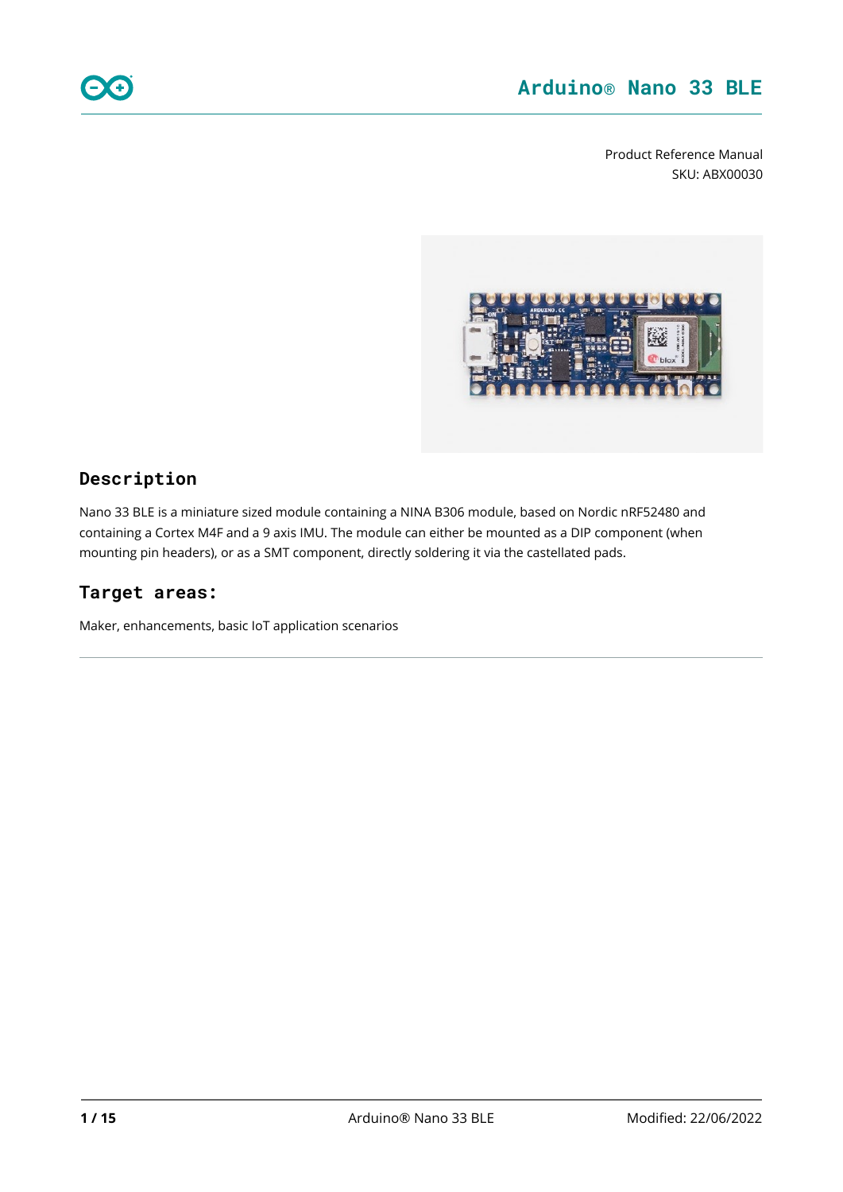Product Reference Manual SKU: ABX00030



### **Description**

Nano 33 BLE is a miniature sized module containing a NINA B306 module, based on Nordic nRF52480 and containing a Cortex M4F and a 9 axis IMU. The module can either be mounted as a DIP component (when mounting pin headers), or as a SMT component, directly soldering it via the castellated pads.

### **Target areas:**

Maker, enhancements, basic IoT application scenarios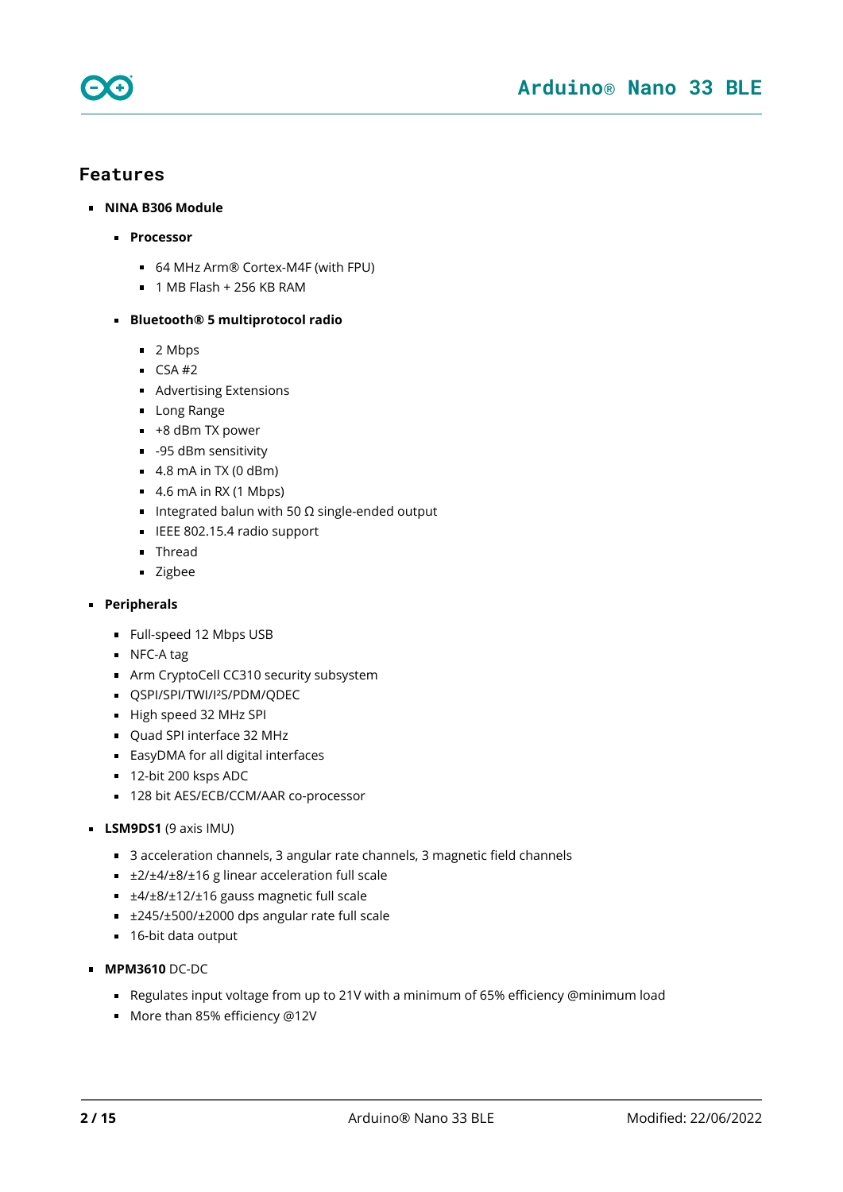



- **NINA B306 Module** 
	- **Processor**
		- 64 MHz Arm® Cortex-M4F (with FPU)
		- $\blacksquare$  1 MB Flash + 256 KB RAM

#### **Bluetooth® 5 multiprotocol radio**

- 2 Mbps
- $\overline{CSA}$ #2
- **Advertising Extensions**
- **Long Range**
- $+8$  dBm TX power
- $-95$  dBm sensitivity
- $\blacksquare$  4.8 mA in TX (0 dBm)
- $\blacksquare$  4.6 mA in RX (1 Mbps)
- Integrated balun with 50  $\Omega$  single-ended output
- **IEEE 802.15.4 radio support**
- **Thread**
- **zigbee**

#### **Peripherals**

- **Full-speed 12 Mbps USB**
- NFC-A tag
- **Arm CryptoCell CC310 security subsystem**
- **COSPI/SPI/TWI/I<sup>2</sup>S/PDM/ODEC**
- High speed 32 MHz SPI
- Ouad SPI interface 32 MHz
- EasyDMA for all digital interfaces
- 12-bit 200 ksps ADC
- 128 bit AES/ECB/CCM/AAR co-processor
- **LSM9DS1** (9 axis IMU)
	- 3 acceleration channels, 3 angular rate channels, 3 magnetic field channels
	- ±2/±4/±8/±16 g linear acceleration full scale
	- ±4/±8/±12/±16 gauss magnetic full scale
	- ±245/±500/±2000 dps angular rate full scale
	- 16-bit data output
- **MPM3610** DC-DC
	- Regulates input voltage from up to 21V with a minimum of 65% efficiency @minimum load
	- More than 85% efficiency @12V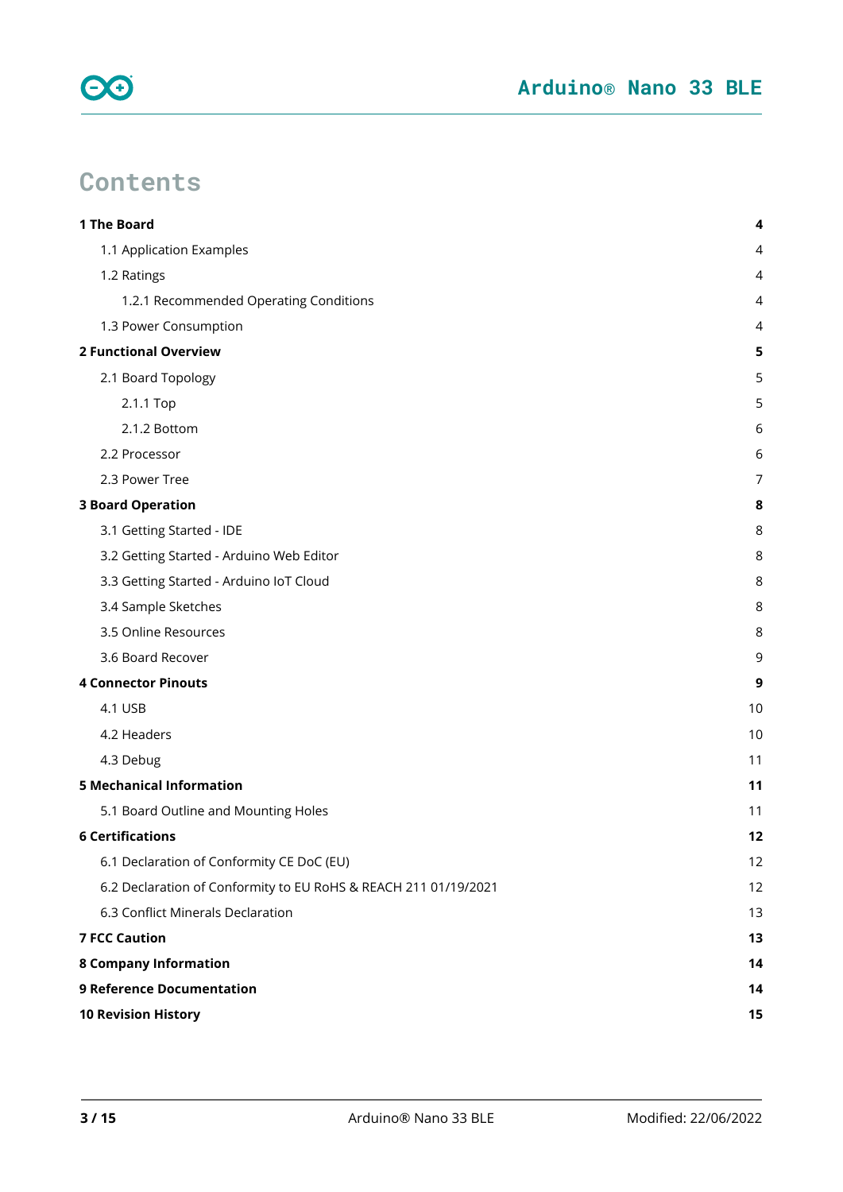

# **Contents**

| 1 The Board                                                     | 4  |
|-----------------------------------------------------------------|----|
| 1.1 Application Examples                                        | 4  |
| 1.2 Ratings                                                     | 4  |
| 1.2.1 Recommended Operating Conditions                          | 4  |
| 1.3 Power Consumption                                           | 4  |
| <b>2 Functional Overview</b>                                    | 5  |
| 2.1 Board Topology                                              | 5  |
| 2.1.1 Top                                                       | 5  |
| 2.1.2 Bottom                                                    | 6  |
| 2.2 Processor                                                   | 6  |
| 2.3 Power Tree                                                  | 7  |
| <b>3 Board Operation</b>                                        | 8  |
| 3.1 Getting Started - IDE                                       | 8  |
| 3.2 Getting Started - Arduino Web Editor                        | 8  |
| 3.3 Getting Started - Arduino IoT Cloud                         | 8  |
| 3.4 Sample Sketches                                             | 8  |
| 3.5 Online Resources                                            | 8  |
| 3.6 Board Recover                                               | 9  |
| <b>4 Connector Pinouts</b>                                      | 9  |
| 4.1 USB                                                         | 10 |
| 4.2 Headers                                                     | 10 |
| 4.3 Debug                                                       | 11 |
| <b>5 Mechanical Information</b>                                 | 11 |
| 5.1 Board Outline and Mounting Holes                            | 11 |
| <b>6 Certifications</b>                                         | 12 |
| 6.1 Declaration of Conformity CE DoC (EU)                       | 12 |
| 6.2 Declaration of Conformity to EU RoHS & REACH 211 01/19/2021 | 12 |
| 6.3 Conflict Minerals Declaration                               | 13 |
| <b>7 FCC Caution</b>                                            | 13 |
| <b>8 Company Information</b>                                    | 14 |
| <b>9 Reference Documentation</b>                                | 14 |
| <b>10 Revision History</b>                                      | 15 |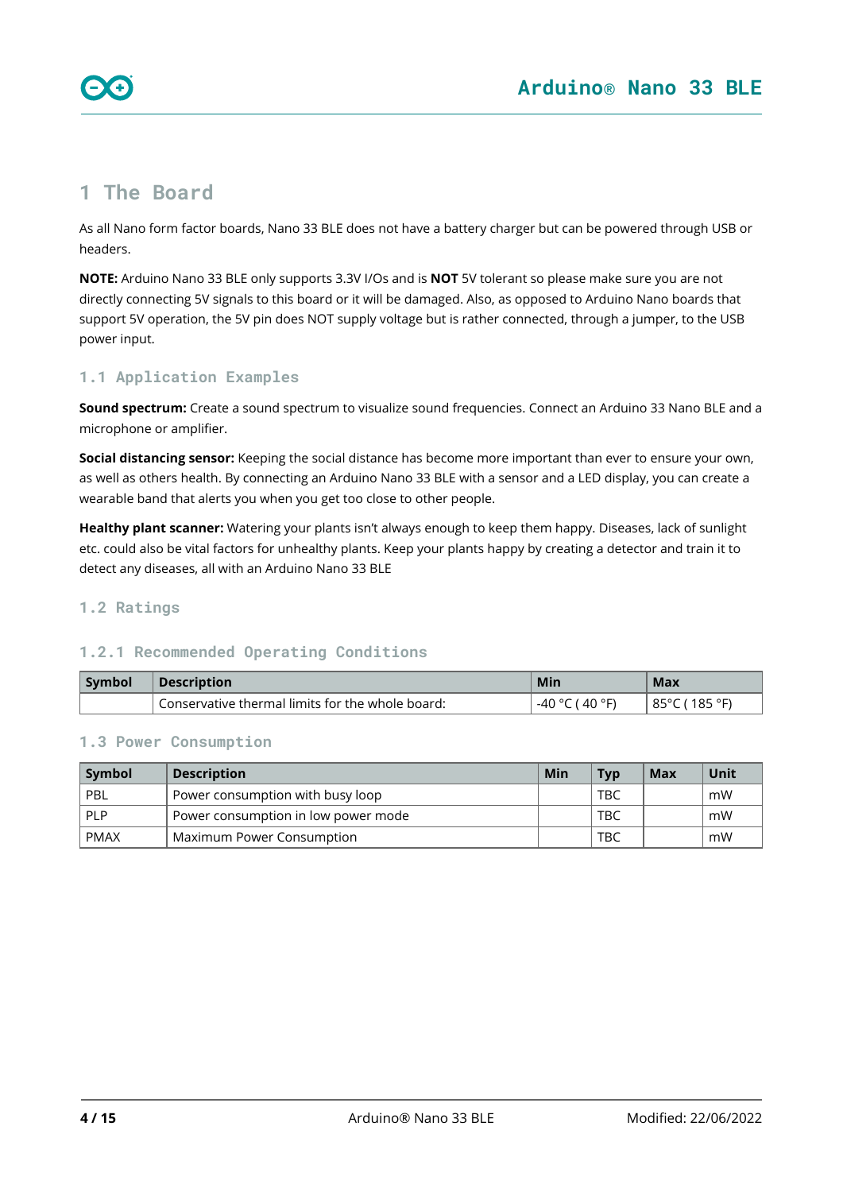

# <span id="page-3-0"></span>**1 The Board**

As all Nano form factor boards, Nano 33 BLE does not have a battery charger but can be powered through USB or headers.

**NOTE:** Arduino Nano 33 BLE only supports 3.3V I/Os and is **NOT** 5V tolerant so please make sure you are not directly connecting 5V signals to this board or it will be damaged. Also, as opposed to Arduino Nano boards that support 5V operation, the 5V pin does NOT supply voltage but is rather connected, through a jumper, to the USB power input.

#### <span id="page-3-1"></span>**1.1 Application Examples**

**Sound spectrum:** Create a sound spectrum to visualize sound frequencies. Connect an Arduino 33 Nano BLE and a microphone or amplifier.

**Social distancing sensor:** Keeping the social distance has become more important than ever to ensure your own, as well as others health. By connecting an Arduino Nano 33 BLE with a sensor and a LED display, you can create a wearable band that alerts you when you get too close to other people.

**Healthy plant scanner:** Watering your plants isn't always enough to keep them happy. Diseases, lack of sunlight etc. could also be vital factors for unhealthy plants. Keep your plants happy by creating a detector and train it to detect any diseases, all with an Arduino Nano 33 BLE

#### <span id="page-3-2"></span>**1.2 Ratings**

#### <span id="page-3-3"></span>**1.2.1 Recommended Operating Conditions**

| Symbol | <b>Description</b>                               | Min               | Max                |
|--------|--------------------------------------------------|-------------------|--------------------|
|        | Conservative thermal limits for the whole board: | ⊺40 °F.<br>$\sim$ | 185 °F<br>ഠ്വ<br>∼ |

#### <span id="page-3-4"></span>**1.3 Power Consumption**

| Symbol      | <b>Description</b>                  |  | <b>Typ</b> | Max | Unit |
|-------------|-------------------------------------|--|------------|-----|------|
| PBL         | Power consumption with busy loop    |  | TBC        |     | mW   |
| <b>PLP</b>  | Power consumption in low power mode |  | TBC        |     | mW   |
| <b>PMAX</b> | Maximum Power Consumption           |  | TBC        |     | mW   |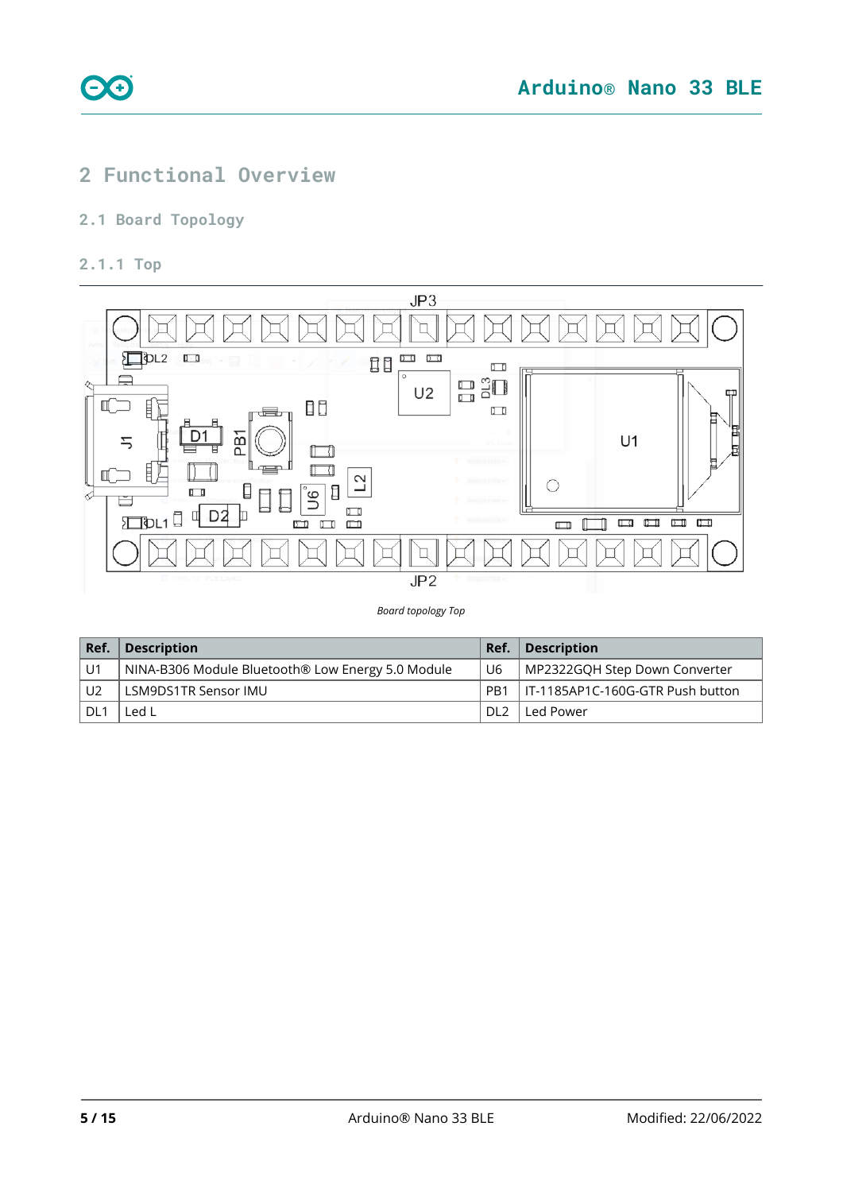

# <span id="page-4-0"></span>**2 Functional Overview**

### <span id="page-4-1"></span>**2.1 Board Topology**

#### <span id="page-4-2"></span>**2.1.1 Top**

ee



*Board topology Top*

| Ref.           | <b>Description</b>                                | Ref.             | <b>Description</b>               |
|----------------|---------------------------------------------------|------------------|----------------------------------|
| i U1           | NINA-B306 Module Bluetooth® Low Energy 5.0 Module | U6               | MP2322GOH Step Down Converter    |
| U <sub>2</sub> | LSM9DS1TR Sensor IMU                              | P <sub>R</sub> 1 | IT-1185AP1C-160G-GTR Push button |
| i DL1          | Led L                                             | DL <sub>2</sub>  | Led Power                        |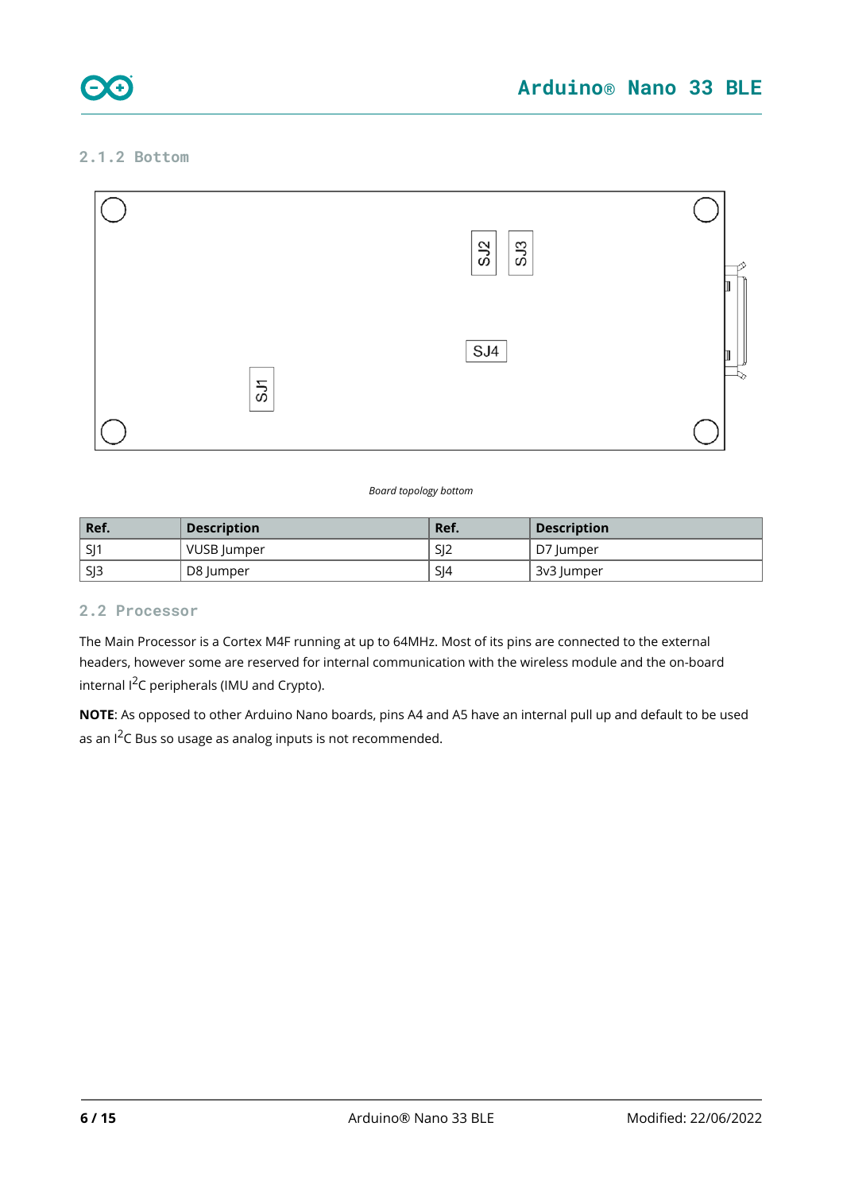

### <span id="page-5-0"></span>**2.1.2 Bottom**



#### *Board topology bottom*

| Ref.            | <b>Description</b> | Ref. | <b>Description</b> |
|-----------------|--------------------|------|--------------------|
| SI1             | VUSB Jumper        | SJ2  | D7 lumper          |
| SI <sub>3</sub> | D8 Jumper          | SI4  | 3v3 Jumper         |

#### <span id="page-5-1"></span>**2.2 Processor**

The Main Processor is a Cortex M4F running at up to 64MHz. Most of its pins are connected to the external headers, however some are reserved for internal communication with the wireless module and the on-board internal I<sup>2</sup>C peripherals (IMU and Crypto).

**NOTE**: As opposed to other Arduino Nano boards, pins A4 and A5 have an internal pull up and default to be used as an  $1^2C$  Bus so usage as analog inputs is not recommended.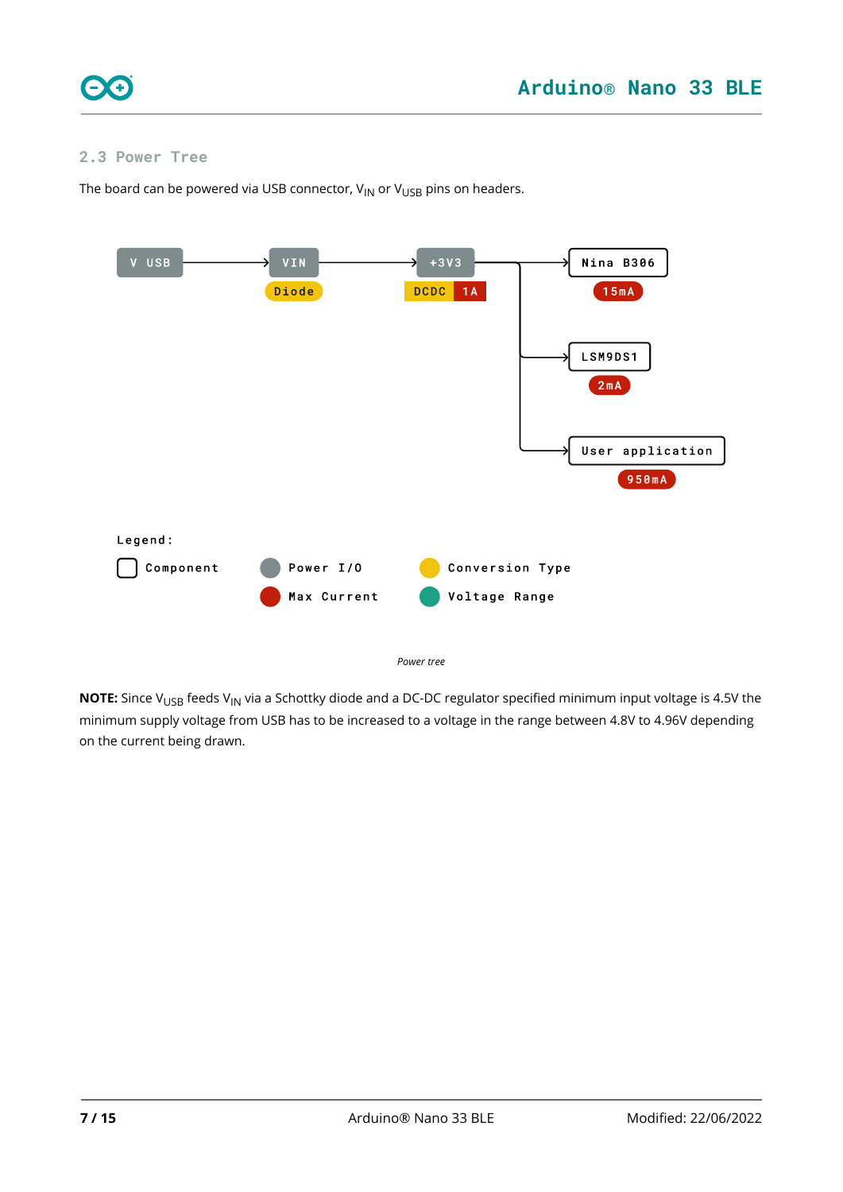

#### <span id="page-6-0"></span>**2.3 Power Tree**

The board can be powered via USB connector,  $V_{IN}$  or  $V_{USB}$  pins on headers.



*Power tree*

**NOTE:** Since V<sub>USB</sub> feeds V<sub>IN</sub> via a Schottky diode and a DC-DC regulator specified minimum input voltage is 4.5V the minimum supply voltage from USB has to be increased to a voltage in the range between 4.8V to 4.96V depending on the current being drawn.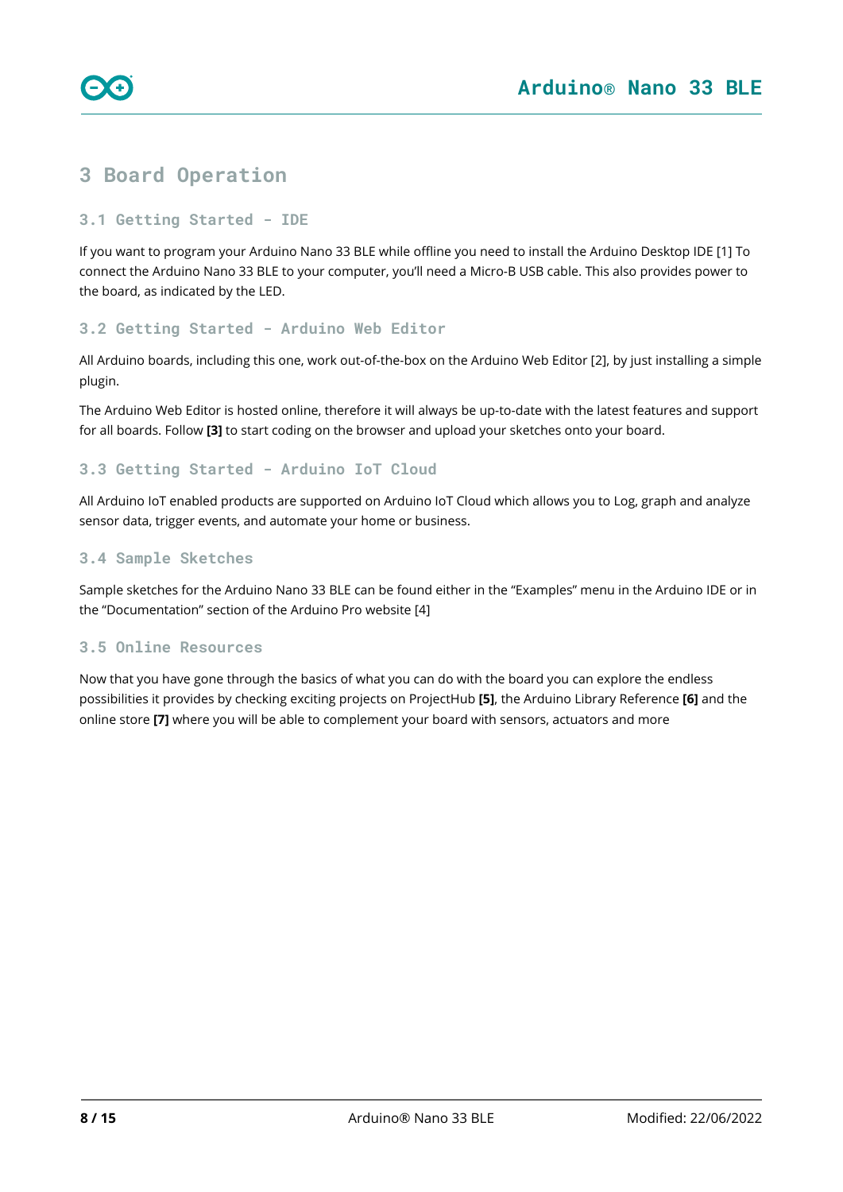

# <span id="page-7-0"></span>**3 Board Operation**

#### <span id="page-7-1"></span>**3.1 Getting Started - IDE**

If you want to program your Arduino Nano 33 BLE while offline you need to install the Arduino Desktop IDE [1] To connect the Arduino Nano 33 BLE to your computer, you'll need a Micro-B USB cable. This also provides power to the board, as indicated by the LED.

#### <span id="page-7-2"></span>**3.2 Getting Started - Arduino Web Editor**

All Arduino boards, including this one, work out-of-the-box on the Arduino Web Editor [2], by just installing a simple plugin.

The Arduino Web Editor is hosted online, therefore it will always be up-to-date with the latest features and support for all boards. Follow **[3]** to start coding on the browser and upload your sketches onto your board.

#### <span id="page-7-3"></span>**3.3 Getting Started - Arduino IoT Cloud**

All Arduino IoT enabled products are supported on Arduino IoT Cloud which allows you to Log, graph and analyze sensor data, trigger events, and automate your home or business.

#### <span id="page-7-4"></span>**3.4 Sample Sketches**

Sample sketches for the Arduino Nano 33 BLE can be found either in the "Examples" menu in the Arduino IDE or in the "Documentation" section of the Arduino Pro website [4]

#### <span id="page-7-5"></span>**3.5 Online Resources**

Now that you have gone through the basics of what you can do with the board you can explore the endless possibilities it provides by checking exciting projects on ProjectHub **[5]**, the Arduino Library Reference **[6]** and the online store **[7]** where you will be able to complement your board with sensors, actuators and more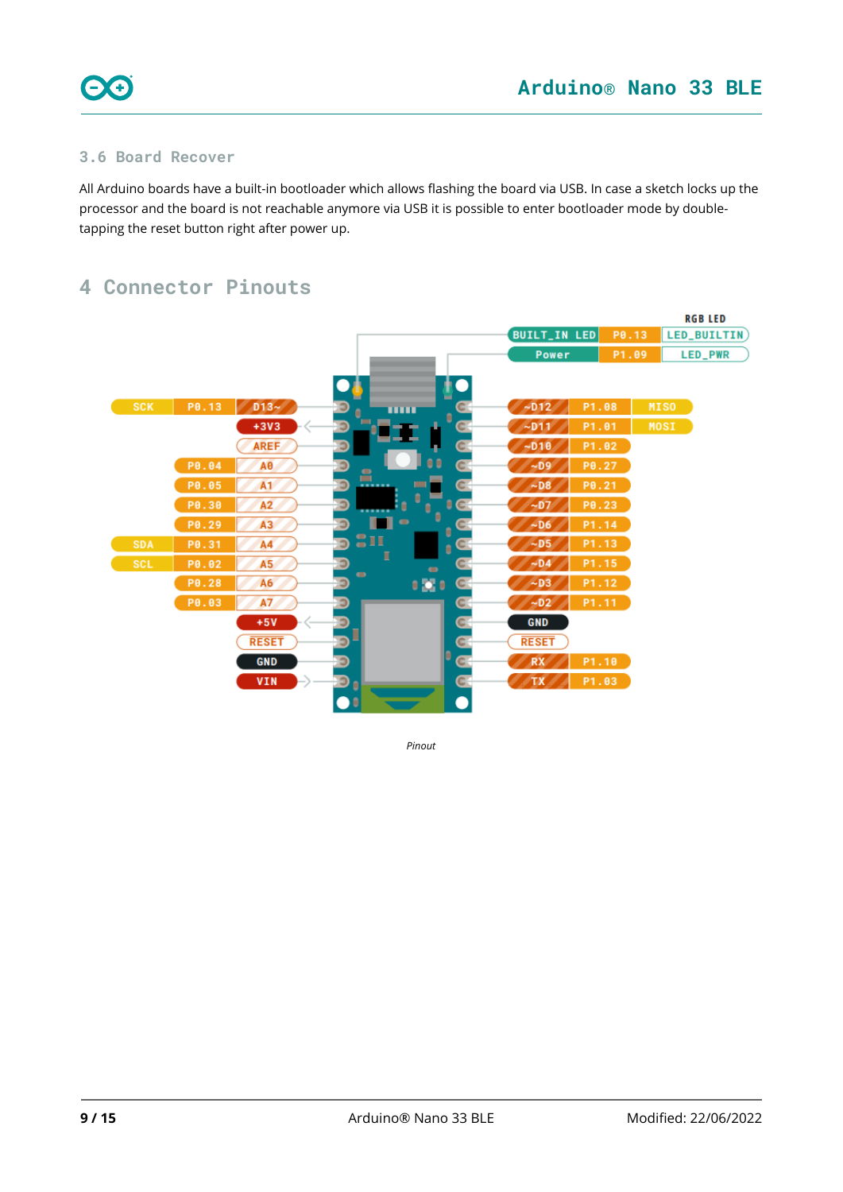

### <span id="page-8-0"></span>**3.6 Board Recover**

All Arduino boards have a built-in bootloader which allows flashing the board via USB. In case a sketch locks up the processor and the board is not reachable anymore via USB it is possible to enter bootloader mode by doubletapping the reset button right after power up.

# <span id="page-8-1"></span>**4 Connector Pinouts**



*Pinout*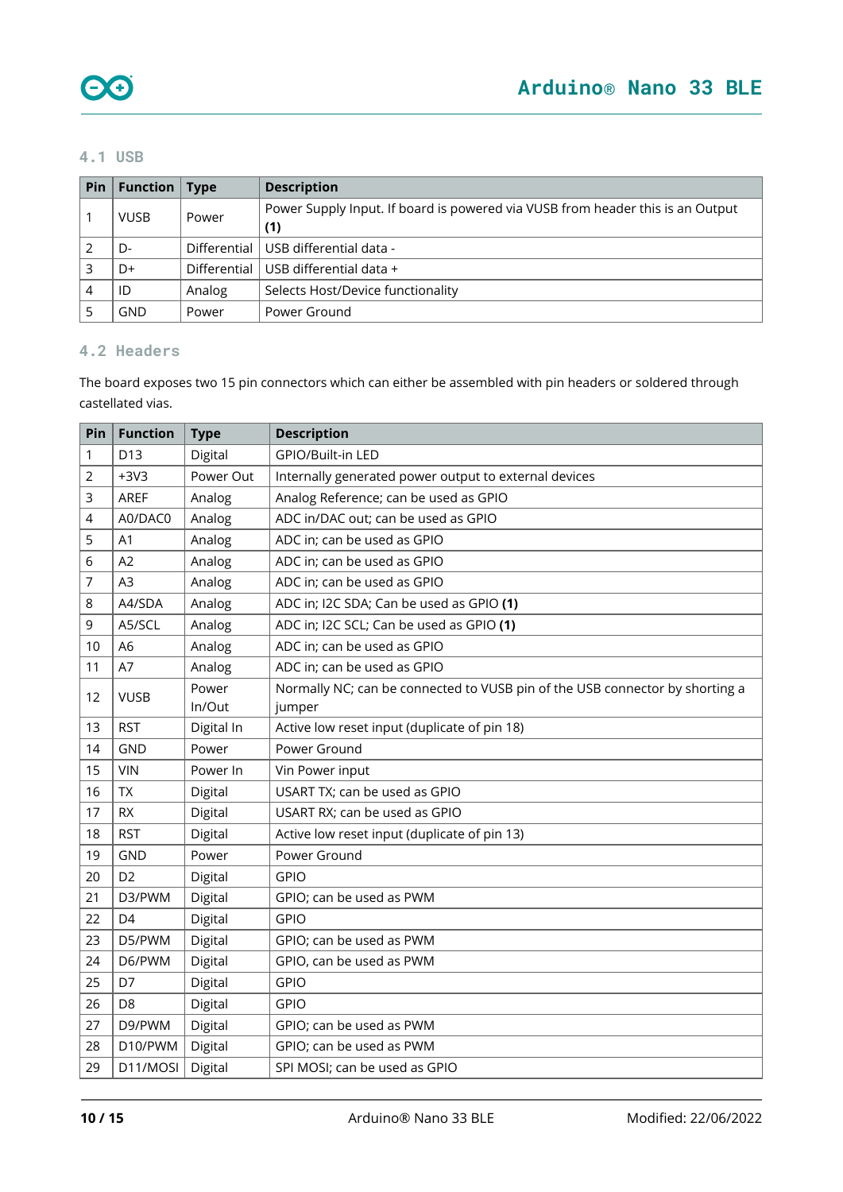#### <span id="page-9-0"></span>**4.1 USB**

| Pin | <b>Function</b>   Type |        | <b>Description</b>                                                             |
|-----|------------------------|--------|--------------------------------------------------------------------------------|
|     | <b>VUSB</b>            | Power  | Power Supply Input. If board is powered via VUSB from header this is an Output |
|     |                        |        | (1)                                                                            |
|     | D-                     |        | Differential   USB differential data -                                         |
|     | D+                     |        | Differential   USB differential data +                                         |
| 4   | ID                     | Analog | Selects Host/Device functionality                                              |
|     | GND                    | Power  | Power Ground                                                                   |

### <span id="page-9-1"></span>**4.2 Headers**

The board exposes two 15 pin connectors which can either be assembled with pin headers or soldered through castellated vias.

| Pin | <b>Function</b> | <b>Type</b>     | <b>Description</b>                                                                     |
|-----|-----------------|-----------------|----------------------------------------------------------------------------------------|
| 1   | D <sub>13</sub> | Digital         | GPIO/Built-in LED                                                                      |
| 2   | $+3V3$          | Power Out       | Internally generated power output to external devices                                  |
| 3   | AREF            | Analog          | Analog Reference; can be used as GPIO                                                  |
| 4   | A0/DAC0         | Analog          | ADC in/DAC out; can be used as GPIO                                                    |
| 5   | A1              | Analog          | ADC in; can be used as GPIO                                                            |
| 6   | A2              | Analog          | ADC in; can be used as GPIO                                                            |
| 7   | A <sub>3</sub>  | Analog          | ADC in; can be used as GPIO                                                            |
| 8   | A4/SDA          | Analog          | ADC in; I2C SDA; Can be used as GPIO (1)                                               |
| 9   | A5/SCL          | Analog          | ADC in; I2C SCL; Can be used as GPIO (1)                                               |
| 10  | A <sub>6</sub>  | Analog          | ADC in; can be used as GPIO                                                            |
| 11  | A7              | Analog          | ADC in; can be used as GPIO                                                            |
| 12  | <b>VUSB</b>     | Power<br>In/Out | Normally NC; can be connected to VUSB pin of the USB connector by shorting a<br>jumper |
| 13  | <b>RST</b>      | Digital In      | Active low reset input (duplicate of pin 18)                                           |
| 14  | <b>GND</b>      | Power           | Power Ground                                                                           |
| 15  | <b>VIN</b>      | Power In        | Vin Power input                                                                        |
| 16  | <b>TX</b>       | Digital         | USART TX; can be used as GPIO                                                          |
| 17  | <b>RX</b>       | Digital         | USART RX; can be used as GPIO                                                          |
| 18  | <b>RST</b>      | Digital         | Active low reset input (duplicate of pin 13)                                           |
| 19  | <b>GND</b>      | Power           | Power Ground                                                                           |
| 20  | D <sub>2</sub>  | Digital         | <b>GPIO</b>                                                                            |
| 21  | D3/PWM          | Digital         | GPIO; can be used as PWM                                                               |
| 22  | D4              | Digital         | <b>GPIO</b>                                                                            |
| 23  | D5/PWM          | Digital         | GPIO; can be used as PWM                                                               |
| 24  | D6/PWM          | Digital         | GPIO, can be used as PWM                                                               |
| 25  | D7              | Digital         | <b>GPIO</b>                                                                            |
| 26  | D <sub>8</sub>  | Digital         | <b>GPIO</b>                                                                            |
| 27  | D9/PWM          | Digital         | GPIO; can be used as PWM                                                               |
| 28  | D10/PWM         | Digital         | GPIO; can be used as PWM                                                               |
| 29  | D11/MOSI        | Digital         | SPI MOSI; can be used as GPIO                                                          |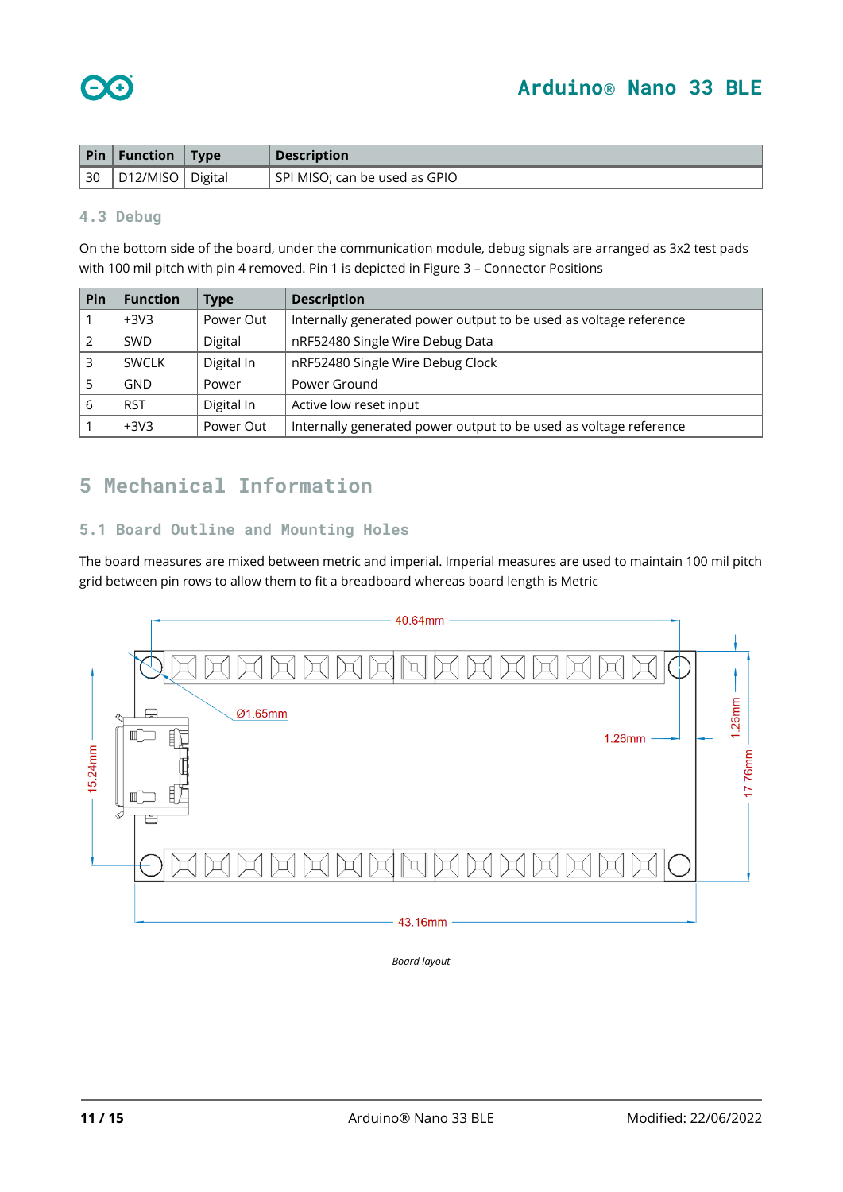|            | $\vert$ Pin $\vert$ Function $\vert$ Type |         | <b>Description</b>            |
|------------|-------------------------------------------|---------|-------------------------------|
| $\vert$ 30 | , D12/MISO '                              | Digital | SPI MISO; can be used as GPIO |

#### <span id="page-10-0"></span>**4.3 Debug**

On the bottom side of the board, under the communication module, debug signals are arranged as 3x2 test pads with 100 mil pitch with pin 4 removed. Pin 1 is depicted in Figure 3 – Connector Positions

| Pin | <b>Function</b> | <b>Type</b> | <b>Description</b>                                                |
|-----|-----------------|-------------|-------------------------------------------------------------------|
|     | $+3V3$          | Power Out   | Internally generated power output to be used as voltage reference |
|     | <b>SWD</b>      | Digital     | nRF52480 Single Wire Debug Data                                   |
|     | <b>SWCLK</b>    | Digital In  | nRF52480 Single Wire Debug Clock                                  |
|     | <b>GND</b>      | Power       | Power Ground                                                      |
| 6   | <b>RST</b>      | Digital In  | Active low reset input                                            |
|     | $+3V3$          | Power Out   | Internally generated power output to be used as voltage reference |

# <span id="page-10-1"></span>**5 Mechanical Information**

### <span id="page-10-2"></span>**5.1 Board Outline and Mounting Holes**

The board measures are mixed between metric and imperial. Imperial measures are used to maintain 100 mil pitch grid between pin rows to allow them to fit a breadboard whereas board length is Metric



*Board layout*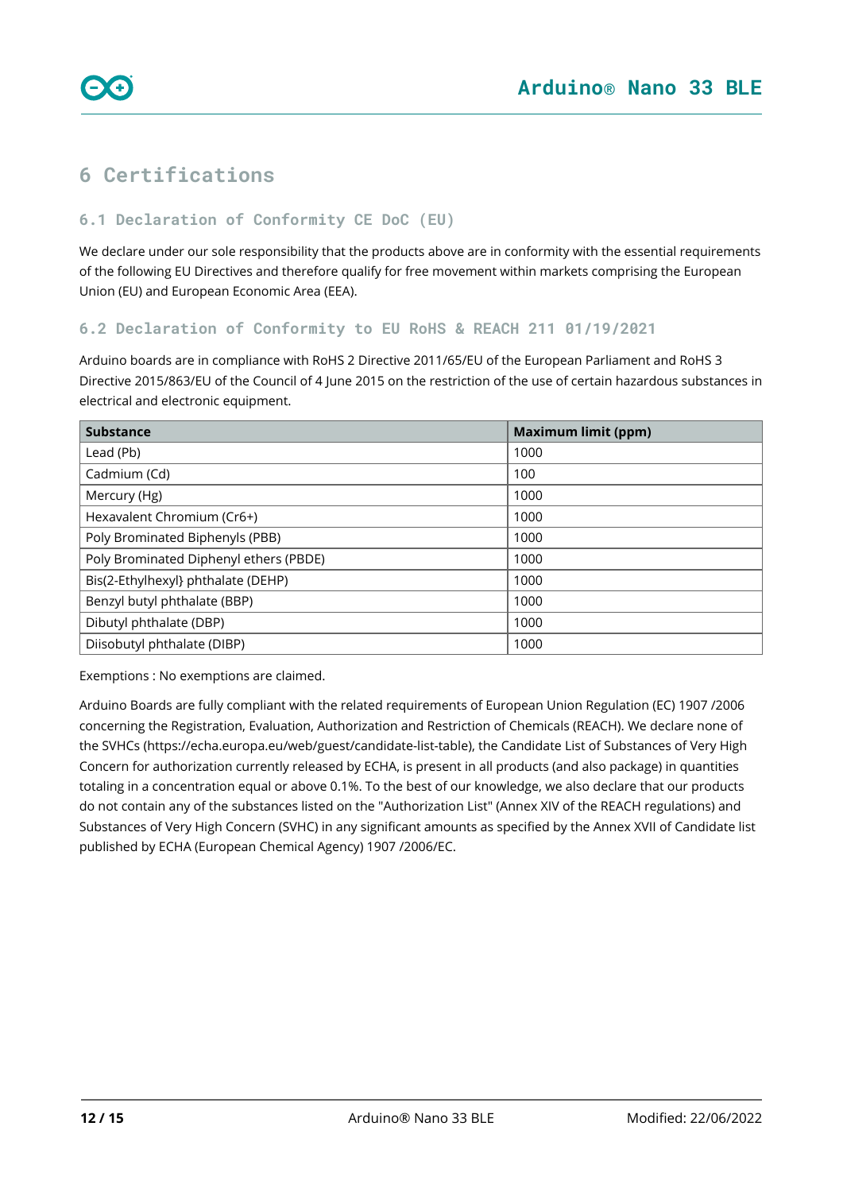

# <span id="page-11-0"></span>**6 Certifications**

#### <span id="page-11-1"></span>**6.1 Declaration of Conformity CE DoC (EU)**

We declare under our sole responsibility that the products above are in conformity with the essential requirements of the following EU Directives and therefore qualify for free movement within markets comprising the European Union (EU) and European Economic Area (EEA).

#### <span id="page-11-2"></span>**6.2 Declaration of Conformity to EU RoHS & REACH 211 01/19/2021**

Arduino boards are in compliance with RoHS 2 Directive 2011/65/EU of the European Parliament and RoHS 3 Directive 2015/863/EU of the Council of 4 June 2015 on the restriction of the use of certain hazardous substances in electrical and electronic equipment.

| <b>Substance</b>                       | <b>Maximum limit (ppm)</b> |
|----------------------------------------|----------------------------|
| Lead (Pb)                              | 1000                       |
| Cadmium (Cd)                           | 100                        |
| Mercury (Hg)                           | 1000                       |
| Hexavalent Chromium (Cr6+)             | 1000                       |
| Poly Brominated Biphenyls (PBB)        | 1000                       |
| Poly Brominated Diphenyl ethers (PBDE) | 1000                       |
| Bis(2-Ethylhexyl} phthalate (DEHP)     | 1000                       |
| Benzyl butyl phthalate (BBP)           | 1000                       |
| Dibutyl phthalate (DBP)                | 1000                       |
| Diisobutyl phthalate (DIBP)            | 1000                       |

Exemptions : No exemptions are claimed.

Arduino Boards are fully compliant with the related requirements of European Union Regulation (EC) 1907 /2006 concerning the Registration, Evaluation, Authorization and Restriction of Chemicals (REACH). We declare none of the SVHCs (<https://echa.europa.eu/web/guest/candidate-list-table>), the Candidate List of Substances of Very High Concern for authorization currently released by ECHA, is present in all products (and also package) in quantities totaling in a concentration equal or above 0.1%. To the best of our knowledge, we also declare that our products do not contain any of the substances listed on the "Authorization List" (Annex XIV of the REACH regulations) and Substances of Very High Concern (SVHC) in any significant amounts as specified by the Annex XVII of Candidate list published by ECHA (European Chemical Agency) 1907 /2006/EC.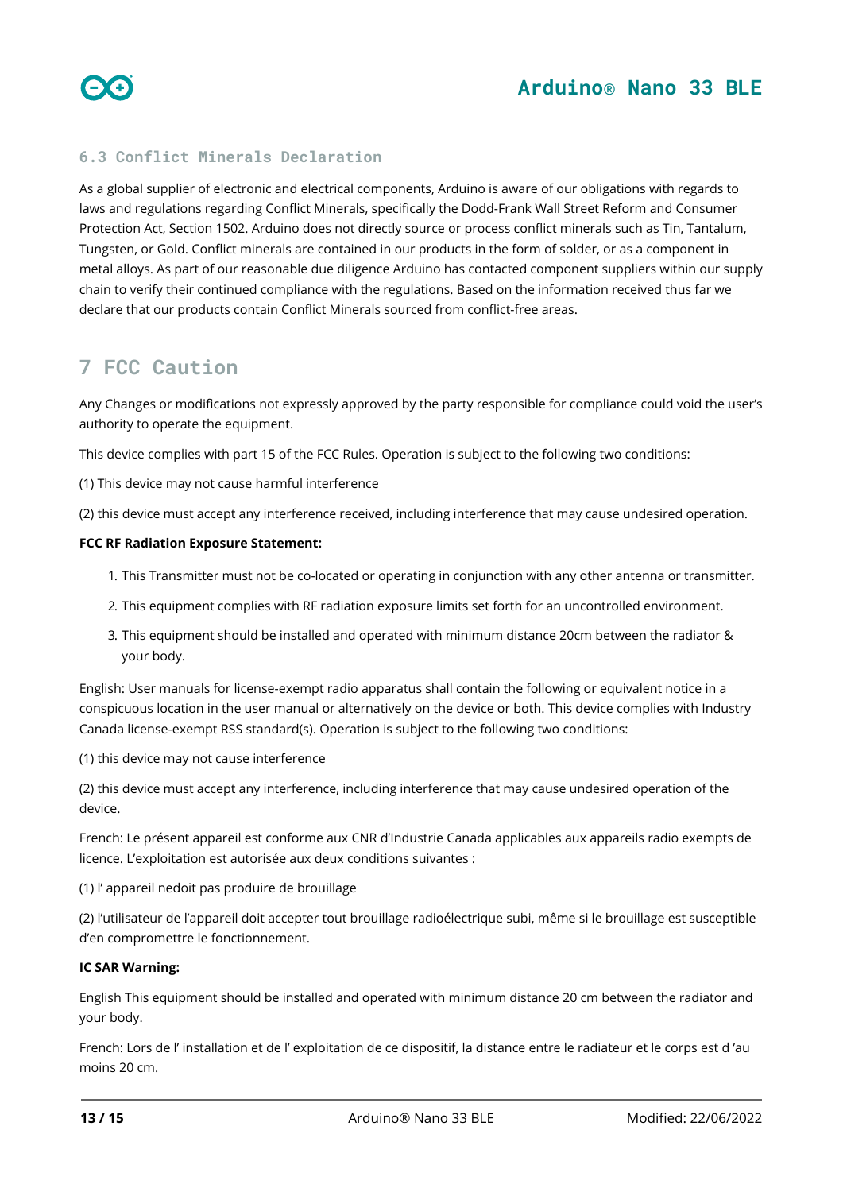### <span id="page-12-0"></span>**6.3 Conflict Minerals Declaration**

As a global supplier of electronic and electrical components, Arduino is aware of our obligations with regards to laws and regulations regarding Conflict Minerals, specifically the Dodd-Frank Wall Street Reform and Consumer Protection Act, Section 1502. Arduino does not directly source or process conflict minerals such as Tin, Tantalum, Tungsten, or Gold. Conflict minerals are contained in our products in the form of solder, or as a component in metal alloys. As part of our reasonable due diligence Arduino has contacted component suppliers within our supply chain to verify their continued compliance with the regulations. Based on the information received thus far we declare that our products contain Conflict Minerals sourced from conflict-free areas.

# <span id="page-12-1"></span>**7 FCC Caution**

Any Changes or modifications not expressly approved by the party responsible for compliance could void the user's authority to operate the equipment.

This device complies with part 15 of the FCC Rules. Operation is subject to the following two conditions:

(1) This device may not cause harmful interference

(2) this device must accept any interference received, including interference that may cause undesired operation.

#### **FCC RF Radiation Exposure Statement:**

- 1. This Transmitter must not be co-located or operating in conjunction with any other antenna or transmitter.
- 2. This equipment complies with RF radiation exposure limits set forth for an uncontrolled environment.
- 3. This equipment should be installed and operated with minimum distance 20cm between the radiator & your body.

English: User manuals for license-exempt radio apparatus shall contain the following or equivalent notice in a conspicuous location in the user manual or alternatively on the device or both. This device complies with Industry Canada license-exempt RSS standard(s). Operation is subject to the following two conditions:

(1) this device may not cause interference

(2) this device must accept any interference, including interference that may cause undesired operation of the device.

French: Le présent appareil est conforme aux CNR d'Industrie Canada applicables aux appareils radio exempts de licence. L'exploitation est autorisée aux deux conditions suivantes :

(1) l' appareil nedoit pas produire de brouillage

(2) l'utilisateur de l'appareil doit accepter tout brouillage radioélectrique subi, même si le brouillage est susceptible d'en compromettre le fonctionnement.

#### **IC SAR Warning:**

English This equipment should be installed and operated with minimum distance 20 cm between the radiator and your body.

French: Lors de l' installation et de l' exploitation de ce dispositif, la distance entre le radiateur et le corps est d 'au moins 20 cm.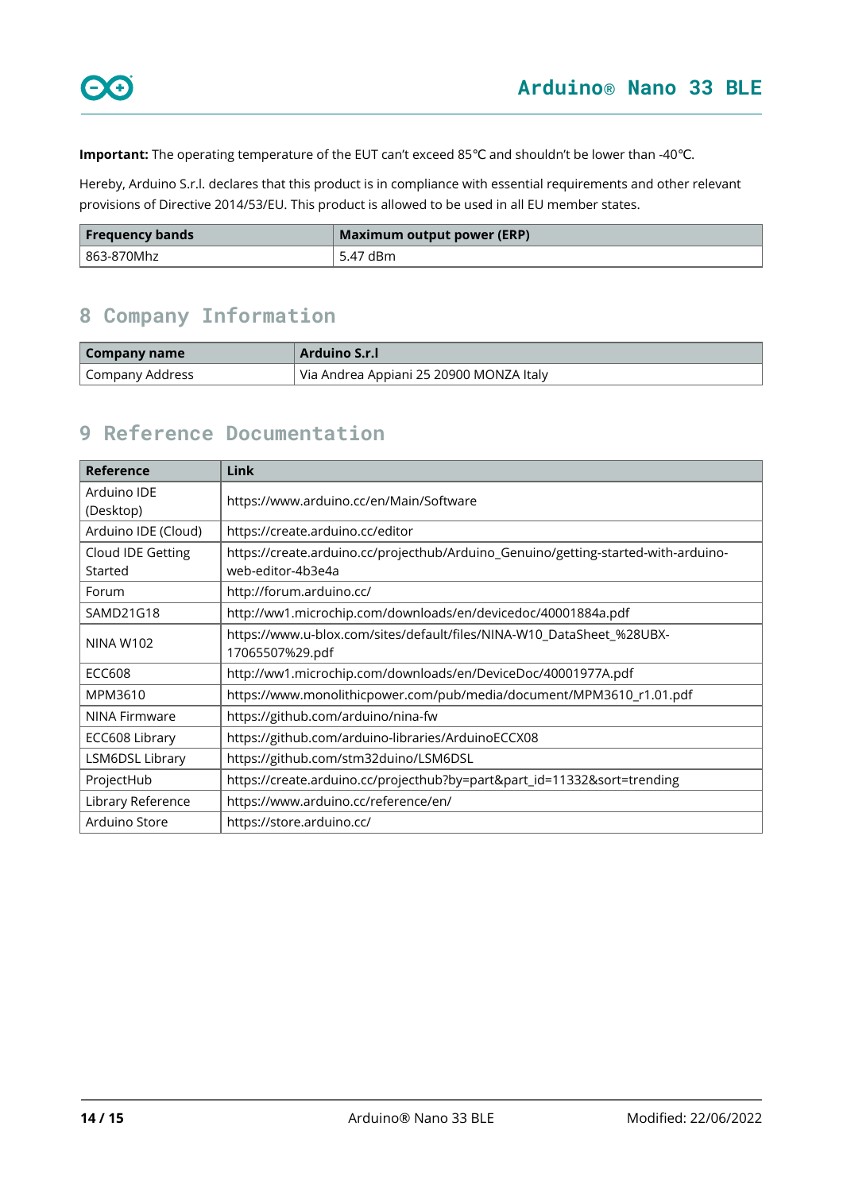**Important:** The operating temperature of the EUT can't exceed 85℃ and shouldn't be lower than -40℃.

Hereby, Arduino S.r.l. declares that this product is in compliance with essential requirements and other relevant provisions of Directive 2014/53/EU. This product is allowed to be used in all EU member states.

| <b>Frequency bands</b> | Maximum output power (ERP) |
|------------------------|----------------------------|
| l 863-870Mhz           | 5.47 dBm                   |

# <span id="page-13-0"></span>**8 Company Information**

| Company name    | Arduino S.r.I                           |
|-----------------|-----------------------------------------|
| Company Address | Via Andrea Appiani 25 20900 MONZA Italy |

# <span id="page-13-1"></span>**9 Reference Documentation**

| Reference                    | <b>Link</b>                                                                                             |  |
|------------------------------|---------------------------------------------------------------------------------------------------------|--|
| Arduino IDE<br>(Desktop)     | https://www.arduino.cc/en/Main/Software                                                                 |  |
| Arduino IDE (Cloud)          | https://create.arduino.cc/editor                                                                        |  |
| Cloud IDE Getting<br>Started | https://create.arduino.cc/projecthub/Arduino_Genuino/getting-started-with-arduino-<br>web-editor-4b3e4a |  |
| Forum                        | http://forum.arduino.cc/                                                                                |  |
| SAMD21G18                    | http://ww1.microchip.com/downloads/en/devicedoc/40001884a.pdf                                           |  |
| <b>NINA W102</b>             | https://www.u-blox.com/sites/default/files/NINA-W10_DataSheet_%28UBX-<br>17065507%29.pdf                |  |
| ECC608                       | http://ww1.microchip.com/downloads/en/DeviceDoc/40001977A.pdf                                           |  |
| MPM3610                      | https://www.monolithicpower.com/pub/media/document/MPM3610_r1.01.pdf                                    |  |
| NINA Firmware                | https://github.com/arduino/nina-fw                                                                      |  |
| ECC608 Library               | https://github.com/arduino-libraries/ArduinoECCX08                                                      |  |
| LSM6DSL Library              | https://github.com/stm32duino/LSM6DSL                                                                   |  |
| ProjectHub                   | https://create.arduino.cc/projecthub?by=part∂_id=11332&sort=trending                                    |  |
| Library Reference            | https://www.arduino.cc/reference/en/                                                                    |  |
| Arduino Store                | https://store.arduino.cc/                                                                               |  |